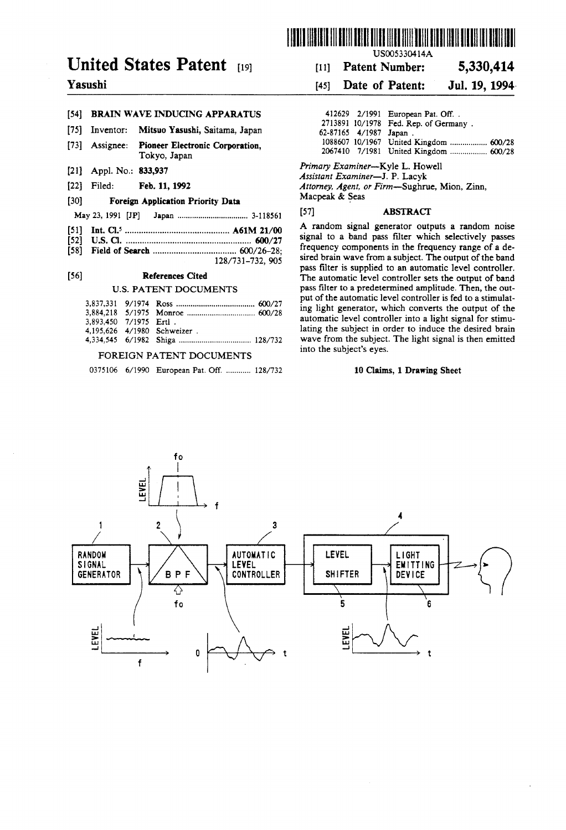

# United States Patent (19)

## Yasushi

#### [54] BRAIN WAVE INDUCING APPARATUS

- [75] Inventor: Mitsuo Yasushi, Saitama, Japan
- [73] Assignee: Pioneer Electronic Corporation, Tokyo, Japan
- [21] Appl. No.: 833,937
- [22] Filed: Feb. 11, 1992

#### (30) Foreign Application Priority Data

May 23, 1991 JP Japan .................................. 3.1856

- 51) Int. C.'......................... ... A61M 21/00
- 52 U.S.C. ...................................................... 600/27
- 58) Field of Search .................................... 600/26-28; 128/731-732, 905

#### (56) References Cited

#### U.S. PATENT DOCUMENTS

| 3.893.450 7/1975 Ertl. |                             |
|------------------------|-----------------------------|
|                        | 4.195.626 4/1980 Schweizer. |
|                        |                             |

#### FOREIGN PATENT DOCUMENTS

0375106 6/1990 European Pat. Off. ............ 128/732

(11) Patent Number: 5,330,414

#### [45] Date of Patent: Jul. 19, 1994.

|                        | 412629 2/1991 European Pat. Off        |
|------------------------|----------------------------------------|
|                        | 2713891 10/1978 Fed. Rep. of Germany.  |
| 62-87165 4/1987 Japan. |                                        |
|                        | 1088607 10/1967 United Kingdom  600/28 |
|                        | 2067410 7/1981 United Kingdom  600/28  |

Primary Examiner-Kyle L. Howell<br>Assistant Examiner-J. P. Lacyk

Attorney, Agent, or Firm-Sughrue, Mion, Zinn, Macpeak & Seas

#### [57] **ABSTRACT**

A random signal generator outputs a random noise signal to a band pass filter which selectively passes frequency components in the frequency range of a desired brain wave from a subject. The output of the band pass filter is supplied to an automatic level controller. The automatic level controller sets the output of band pass filter to a predetermined amplitude. Then, the out put of the automatic level controller is fed to a stimulat ing light generator, which converts the output of the automatic level controller into a light signal for stimu lating the subject in order to induce the desired brain wave from the subject. The light signal is then emitted into the subject's eyes.

#### 10 Claims, 1 Drawing Sheet

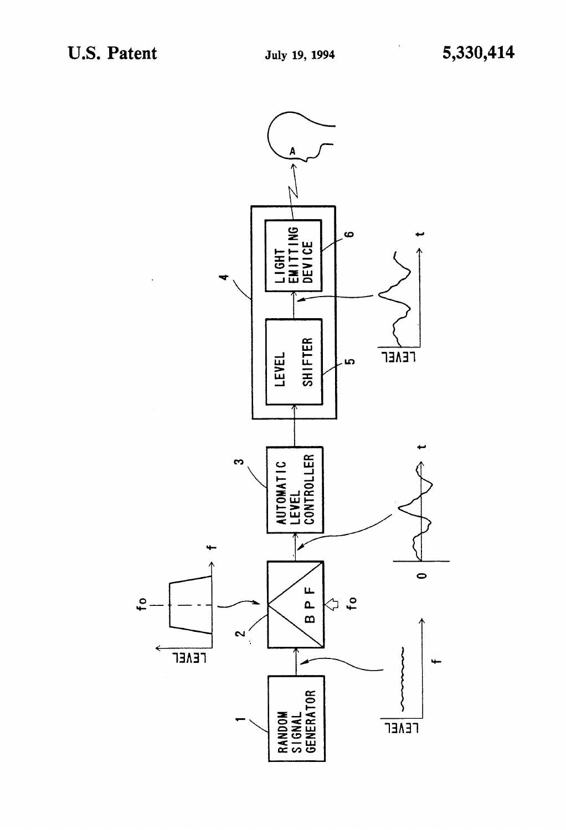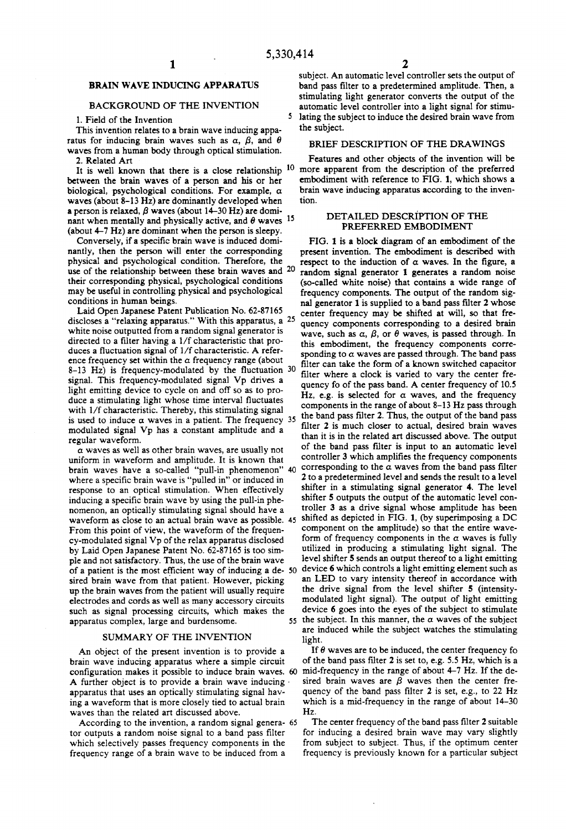5

### BRAIN WAVE INDUCING APPARATUS

#### BACKGROUND OF THE INVENTION

1. Field of the Invention

This invention relates to a brain wave inducing appa ratus for inducing brain waves such as  $\alpha$ ,  $\beta$ , and  $\theta$ waves from a human body through optical stimulation. 2. Related Art

between the brain waves of a person and his or her biological, psychological conditions. For example,  $\alpha$ waves (about 8-13 Hz) are dominantly developed when a person is relaxed,  $\beta$  waves (about 14-30 Hz) are dominant when mentally and physically active, and  $\theta$  waves <sup>15</sup>

(about 4-7 Hz) are dominant when the person is sleepy. Conversely, if a specific brain wave is induced domi physical and psychological condition. Therefore, the use of the relationship between these brain waves and 20 their corresponding physical, psychological conditions may be useful in controlling physical and psychological

Laid Open Japanese Patent Publication No. 62-87165 discloses a "relaxing apparatus." With this apparatus, a 25 white noise outputted from a random signal generator is directed to a filter having a  $1/f$  characteristic that produces a fluctuation signal of 1/f characteristic. A reference frequency set within the  $\alpha$  frequency range (about  $8-13$  Hz) is frequency-modulated by the fluctuation  $30$ signal. This frequency-modulated signal Vp drives a light emitting device to cycle on and off so as to produce a stimulating light whose time interval fluctuates with 1/f characteristic. Thereby, this stimulating signal with 1/1 characteristic. Thereby, this stimulating signal<br>is used to induce  $\alpha$  waves in a patient. The frequency<br>modulated signal Vp has a constant amplitude and a regular waveform.

a waves as well as other brain waves, are usually not uniform in waveform and amplitude. It is known that brain waves have a so-called "pull-in phenomenon" 40 where a specific brain wave is "pulled in" or induced in response to an optical stimulation. When effectively inducing a specific brain wave by using the pull-in phenomenon, an optically stimulating signal should have a waveform as close to an actual brain wave as possible. 45 From this point of view, the waveform of the frequency-modulated signal Vp of the relax apparatus disclosed by Laid Open Japanese Patent No. 62-87165 is too sim ple and not satisfactory. Thus, the use of the brain wave of a patient is the most efficient way of inducing a de 50 sired brain wave from that patient. However, picking up the brain waves from the patient will usually require electrodes and cords as well as many accessory circuits such as signal processing circuits, which makes the apparatus complex, large and burdensome.

#### SUMMARY OF THE INVENTION

An object of the present invention is to provide a brain wave inducing apparatus where a simple circuit configuration makes it possible to induce brain waves. A further object is to provide a brain wave inducing apparatus that uses an optically stimulating signal hav ing a waveform that is more closely tied to actual brain waves than the related art discussed above.

According to the invention, a random signal genera- 65 tor outputs a random noise signal to a band pass filter which selectively passes frequency components in the frequency range of a brain wave to be induced from a

subject. An automatic level controller sets the output of band pass filter to a predetermined amplitude. Then, a stimulating light generator converts the output of the automatic level controller into a light signal for stimu lating the subject to induce the desired brain wave from the subject.

#### BRIEF DESCRIPTION OF THE DRAWINGS

It is well known that there is a close relationship  $10$  more apparent from the description of the preferred Features and other objects of the invention will be embodiment with reference to FIG. 1, which shows a brain wave inducing apparatus according to the inven tion.

#### DETAILED DESCRIPTION OF THE PREFERRED EMBODIMENT

35  $55$  the subject. In this manner, the  $\alpha$  waves of the subject FIG. 1 is a block diagram of an embodiment of the present invention. The embodiment is described with respect to the induction of  $\alpha$  waves. In the figure, a random signal generator 1 generates a random noise (so-called white noise) that contains a wide range of frequency components. The output of the random signal generator 1 is supplied to a band pass filter 2 whose center frequency may be shifted at will, so that fre quency components corresponding to a desired brain wave, such as  $\alpha$ ,  $\beta$ , or  $\theta$  waves, is passed through. In this embodiment, the frequency components corre sponding to  $\alpha$  waves are passed through. The band pass filter can take the form of a known switched capacitor filter where a clock is varied to vary the center fre quency fo of the pass band. A center frequency of 10.5 Hz, e.g. is selected for  $\alpha$  waves, and the frequency components in the range of about 8-13 Hz pass through<br>the band pass filter 2. Thus, the output of the band pass filter 2 is much closer to actual, desired brain waves than it is in the related art discussed above. The output of the band pass filter is input to an automatic level controller 3 which amplifies the frequency components corresponding to the  $\alpha$  waves from the band pass filter 2 to a predetermined level and sends the result to a level shifter in a stimulating signal generator 4. The level shifter 5 outputs the output of the automatic level con troller 3 as a drive signal whose amplitude has been shifted as depicted in FIG. 1, (by superimposing a DC component on the amplitude) so that the entire wave-<br>form of frequency components in the  $\alpha$  waves is fully utilized in producing a stimulating light signal. The level shifter 5 sends an output thereof to a light emitting device 6 which controls a light emitting element such as an LED to vary intensity thereof in accordance with the drive signal from the level shifter 5 (intensitymodulated light signal). The output of light emitting device  $6$  goes into the eyes of the subject to stimulate are induced while the subject watches the stimulating light.

If  $\theta$  waves are to be induced, the center frequency fo of the band pass filter 2 is set to, e.g. 5.5 Hz, which is a mid-frequency in the range of about 4-7 Hz. If the de sired brain waves are  $\beta$  waves then the center frequency of the band pass filter 2 is set, e.g., to 22 Hz which is a mid-frequency in the range of about 14-30 HZ.

The center frequency of the band pass filter 2 suitable for inducing a desired brain wave may vary slightly from subject to subject. Thus, if the optimum center frequency is previously known for a particular subject